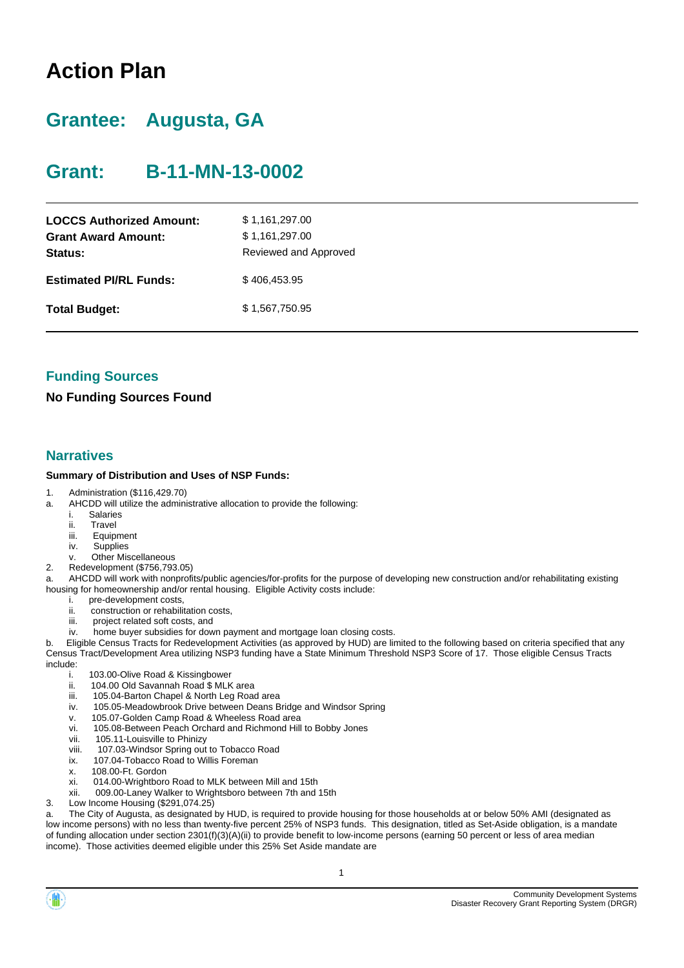# **Action Plan**

# **Grantee: Augusta, GA**

# **Grant: B-11-MN-13-0002**

| <b>LOCCS Authorized Amount:</b><br><b>Grant Award Amount:</b><br>Status: | \$1,161,297.00<br>\$1,161,297.00<br>Reviewed and Approved |
|--------------------------------------------------------------------------|-----------------------------------------------------------|
| <b>Estimated PI/RL Funds:</b>                                            | \$406,453.95                                              |
| <b>Total Budget:</b>                                                     | \$1,567,750.95                                            |

### **Funding Sources**

### **No Funding Sources Found**

#### **Narratives**

#### **Summary of Distribution and Uses of NSP Funds:**

- 1. Administration (\$116,429.70)
- a. AHCDD will utilize the administrative allocation to provide the following:
	- i. Salaries
	- ii. Travel
	- iii. Equipment
	- iv. Supplies
	- v. Other Miscellaneous
- 2. Redevelopment (\$756,793.05)
- AHCDD will work with nonprofits/public agencies/for-profits for the purpose of developing new construction and/or rehabilitating existing housing for homeownership and/or rental housing. Eligible Activity costs include:
	- i. pre-development costs,<br>ii. construction or rehabili
	- construction or rehabilitation costs,
	- iii. project related soft costs, and
	- iv. home buyer subsidies for down payment and mortgage loan closing costs.

b. Eligible Census Tracts for Redevelopment Activities (as approved by HUD) are limited to the following based on criteria specified that any Census Tract/Development Area utilizing NSP3 funding have a State Minimum Threshold NSP3 Score of 17. Those eligible Census Tracts include:

- i. 103.00-Olive Road & Kissingbower
- ii. 104.00 Old Savannah Road \$ MLK area
- iii. 105.04-Barton Chapel & North Leg Road area
- iv. 105.05-Meadowbrook Drive between Deans Bridge and Windsor Spring
- v. 105.07-Golden Camp Road & Wheeless Road area
- vi. 105.08-Between Peach Orchard and Richmond Hill to Bobby Jones
- vii. 105.11-Louisville to Phinizy
- viii. 107.03-Windsor Spring out to Tobacco Road
- ix. 107.04-Tobacco Road to Willis Foreman<br>x. 108.00-Ft. Gordon
- 108.00-Ft. Gordon
- xi. 014.00-Wrightboro Road to MLK between Mill and 15th
- xii. 009.00-Laney Walker to Wrightsboro between 7th and 15th
- 3. Low Income Housing (\$291,074.25)

a. The City of Augusta, as designated by HUD, is required to provide housing for those households at or below 50% AMI (designated as low income persons) with no less than twenty-five percent 25% of NSP3 funds. This designation, titled as Set-Aside obligation, is a mandate of funding allocation under section 2301(f)(3)(A)(ii) to provide benefit to low-income persons (earning 50 percent or less of area median income). Those activities deemed eligible under this 25% Set Aside mandate are

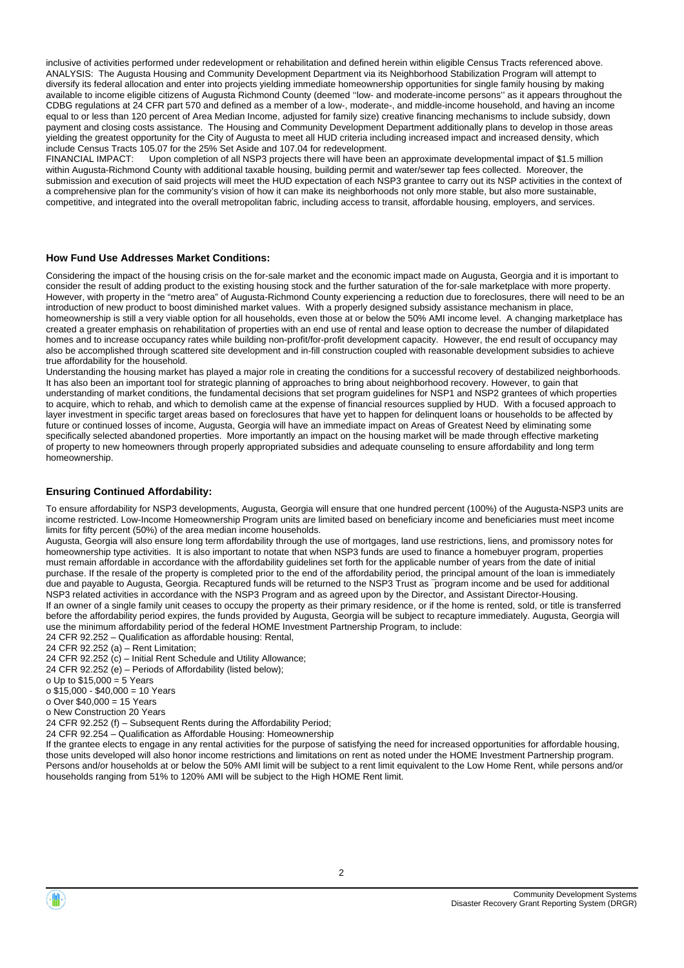inclusive of activities performed under redevelopment or rehabilitation and defined herein within eligible Census Tracts referenced above. ANALYSIS: The Augusta Housing and Community Development Department via its Neighborhood Stabilization Program will attempt to diversify its federal allocation and enter into projects yielding immediate homeownership opportunities for single family housing by making available to income eligible citizens of Augusta Richmond County (deemed ''low- and moderate-income persons'' as it appears throughout the CDBG regulations at 24 CFR part 570 and defined as a member of a low-, moderate-, and middle-income household, and having an income equal to or less than 120 percent of Area Median Income, adjusted for family size) creative financing mechanisms to include subsidy, down payment and closing costs assistance. The Housing and Community Development Department additionally plans to develop in those areas yielding the greatest opportunity for the City of Augusta to meet all HUD criteria including increased impact and increased density, which include Census Tracts 105.07 for the 25% Set Aside and 107.04 for redevelopment.

Upon completion of all NSP3 projects there will have been an approximate developmental impact of \$1.5 million within Augusta-Richmond County with additional taxable housing, building permit and water/sewer tap fees collected. Moreover, the submission and execution of said projects will meet the HUD expectation of each NSP3 grantee to carry out its NSP activities in the context of a comprehensive plan for the community's vision of how it can make its neighborhoods not only more stable, but also more sustainable, competitive, and integrated into the overall metropolitan fabric, including access to transit, affordable housing, employers, and services.

#### **How Fund Use Addresses Market Conditions:**

Considering the impact of the housing crisis on the for-sale market and the economic impact made on Augusta, Georgia and it is important to consider the result of adding product to the existing housing stock and the further saturation of the for-sale marketplace with more property. However, with property in the "metro area" of Augusta-Richmond County experiencing a reduction due to foreclosures, there will need to be an introduction of new product to boost diminished market values. With a properly designed subsidy assistance mechanism in place, homeownership is still a very viable option for all households, even those at or below the 50% AMI income level. A changing marketplace has created a greater emphasis on rehabilitation of properties with an end use of rental and lease option to decrease the number of dilapidated homes and to increase occupancy rates while building non-profit/for-profit development capacity. However, the end result of occupancy may also be accomplished through scattered site development and in-fill construction coupled with reasonable development subsidies to achieve true affordability for the household.

Understanding the housing market has played a major role in creating the conditions for a successful recovery of destabilized neighborhoods. It has also been an important tool for strategic planning of approaches to bring about neighborhood recovery. However, to gain that understanding of market conditions, the fundamental decisions that set program guidelines for NSP1 and NSP2 grantees of which properties to acquire, which to rehab, and which to demolish came at the expense of financial resources supplied by HUD. With a focused approach to layer investment in specific target areas based on foreclosures that have yet to happen for delinquent loans or households to be affected by future or continued losses of income, Augusta, Georgia will have an immediate impact on Areas of Greatest Need by eliminating some specifically selected abandoned properties. More importantly an impact on the housing market will be made through effective marketing of property to new homeowners through properly appropriated subsidies and adequate counseling to ensure affordability and long term homeownership.

#### **Ensuring Continued Affordability:**

To ensure affordability for NSP3 developments, Augusta, Georgia will ensure that one hundred percent (100%) of the Augusta-NSP3 units are income restricted. Low-Income Homeownership Program units are limited based on beneficiary income and beneficiaries must meet income limits for fifty percent (50%) of the area median income households.

Augusta, Georgia will also ensure long term affordability through the use of mortgages, land use restrictions, liens, and promissory notes for homeownership type activities. It is also important to notate that when NSP3 funds are used to finance a homebuyer program, properties must remain affordable in accordance with the affordability guidelines set forth for the applicable number of years from the date of initial purchase. If the resale of the property is completed prior to the end of the affordability period, the principal amount of the loan is immediately due and payable to Augusta, Georgia. Recaptured funds will be returned to the NSP3 Trust as ־program income and be used for additional NSP3 related activities in accordance with the NSP3 Program and as agreed upon by the Director, and Assistant Director-Housing. If an owner of a single family unit ceases to occupy the property as their primary residence, or if the home is rented, sold, or title is transferred before the affordability period expires, the funds provided by Augusta, Georgia will be subject to recapture immediately. Augusta, Georgia will use the minimum affordability period of the federal HOME Investment Partnership Program, to include:

24 CFR 92.252 – Qualification as affordable housing: Rental,

24 CFR 92.252 (a) – Rent Limitation;

- 24 CFR 92.252  $(c)$  Initial Rent Schedule and Utility Allowance;
- 24 CFR 92.252 (e) Periods of Affordability (listed below);
- o Up to  $$15,000 = 5$  Years
- o \$15,000 \$40,000 = 10 Years
- o Over \$40,000 = 15 Years
- o New Construction 20 Years
- 24 CFR 92.252 (f) Subsequent Rents during the Affordability Period;
- 24 CFR 92.254 Qualification as Affordable Housing: Homeownership

If the grantee elects to engage in any rental activities for the purpose of satisfying the need for increased opportunities for affordable housing, those units developed will also honor income restrictions and limitations on rent as noted under the HOME Investment Partnership program. Persons and/or households at or below the 50% AMI limit will be subject to a rent limit equivalent to the Low Home Rent, while persons and/or households ranging from 51% to 120% AMI will be subject to the High HOME Rent limit.

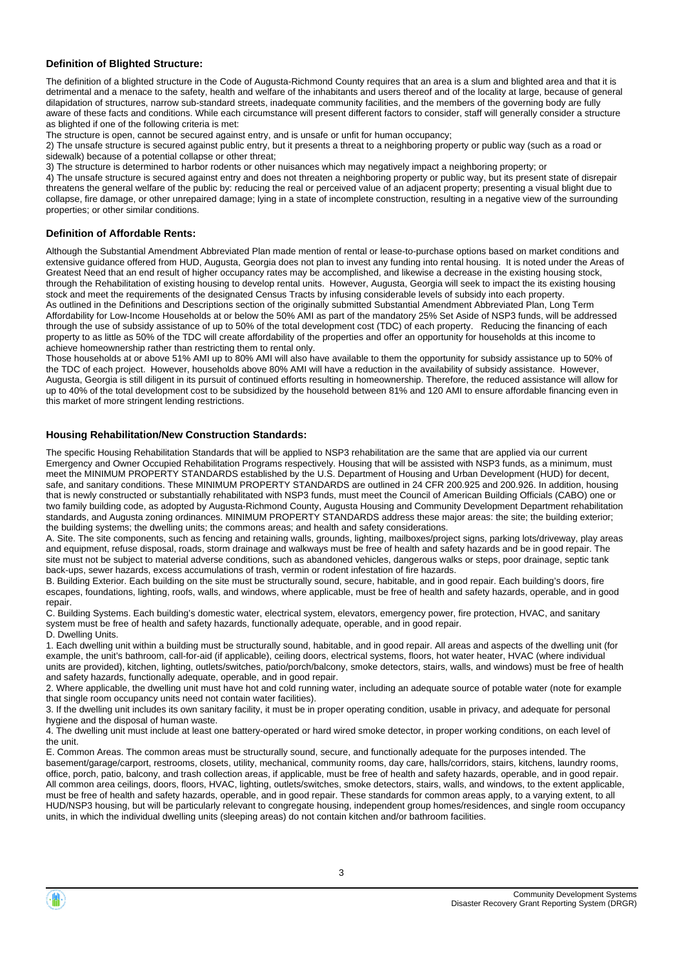#### **Definition of Blighted Structure:**

The definition of a blighted structure in the Code of Augusta-Richmond County requires that an area is a slum and blighted area and that it is detrimental and a menace to the safety, health and welfare of the inhabitants and users thereof and of the locality at large, because of general dilapidation of structures, narrow sub-standard streets, inadequate community facilities, and the members of the governing body are fully aware of these facts and conditions. While each circumstance will present different factors to consider, staff will generally consider a structure as blighted if one of the following criteria is met:

The structure is open, cannot be secured against entry, and is unsafe or unfit for human occupancy;

2) The unsafe structure is secured against public entry, but it presents a threat to a neighboring property or public way (such as a road or sidewalk) because of a potential collapse or other threat;

3) The structure is determined to harbor rodents or other nuisances which may negatively impact a neighboring property; or

4) The unsafe structure is secured against entry and does not threaten a neighboring property or public way, but its present state of disrepair threatens the general welfare of the public by: reducing the real or perceived value of an adjacent property; presenting a visual blight due to collapse, fire damage, or other unrepaired damage; lying in a state of incomplete construction, resulting in a negative view of the surrounding properties; or other similar conditions.

#### **Definition of Affordable Rents:**

Although the Substantial Amendment Abbreviated Plan made mention of rental or lease-to-purchase options based on market conditions and extensive guidance offered from HUD, Augusta, Georgia does not plan to invest any funding into rental housing. It is noted under the Areas of Greatest Need that an end result of higher occupancy rates may be accomplished, and likewise a decrease in the existing housing stock, through the Rehabilitation of existing housing to develop rental units. However, Augusta, Georgia will seek to impact the its existing housing stock and meet the requirements of the designated Census Tracts by infusing considerable levels of subsidy into each property. As outlined in the Definitions and Descriptions section of the originally submitted Substantial Amendment Abbreviated Plan, Long Term Affordability for Low-Income Households at or below the 50% AMI as part of the mandatory 25% Set Aside of NSP3 funds, will be addressed through the use of subsidy assistance of up to 50% of the total development cost (TDC) of each property. Reducing the financing of each property to as little as 50% of the TDC will create affordability of the properties and offer an opportunity for households at this income to achieve homeownership rather than restricting them to rental only.

Those households at or above 51% AMI up to 80% AMI will also have available to them the opportunity for subsidy assistance up to 50% of the TDC of each project. However, households above 80% AMI will have a reduction in the availability of subsidy assistance. However, Augusta, Georgia is still diligent in its pursuit of continued efforts resulting in homeownership. Therefore, the reduced assistance will allow for up to 40% of the total development cost to be subsidized by the household between 81% and 120 AMI to ensure affordable financing even in this market of more stringent lending restrictions.

#### **Housing Rehabilitation/New Construction Standards:**

The specific Housing Rehabilitation Standards that will be applied to NSP3 rehabilitation are the same that are applied via our current Emergency and Owner Occupied Rehabilitation Programs respectively. Housing that will be assisted with NSP3 funds, as a minimum, must meet the MINIMUM PROPERTY STANDARDS established by the U.S. Department of Housing and Urban Development (HUD) for decent, safe, and sanitary conditions. These MINIMUM PROPERTY STANDARDS are outlined in 24 CFR 200.925 and 200.926. In addition, housing that is newly constructed or substantially rehabilitated with NSP3 funds, must meet the Council of American Building Officials (CABO) one or two family building code, as adopted by Augusta-Richmond County, Augusta Housing and Community Development Department rehabilitation standards, and Augusta zoning ordinances. MINIMUM PROPERTY STANDARDS address these major areas: the site; the building exterior; the building systems; the dwelling units; the commons areas; and health and safety considerations.

A. Site. The site components, such as fencing and retaining walls, grounds, lighting, mailboxes/project signs, parking lots/driveway, play areas and equipment, refuse disposal, roads, storm drainage and walkways must be free of health and safety hazards and be in good repair. The site must not be subject to material adverse conditions, such as abandoned vehicles, dangerous walks or steps, poor drainage, septic tank back-ups, sewer hazards, excess accumulations of trash, vermin or rodent infestation of fire hazards.

B. Building Exterior. Each building on the site must be structurally sound, secure, habitable, and in good repair. Each building's doors, fire escapes, foundations, lighting, roofs, walls, and windows, where applicable, must be free of health and safety hazards, operable, and in good repair.

C. Building Systems. Each building's domestic water, electrical system, elevators, emergency power, fire protection, HVAC, and sanitary system must be free of health and safety hazards, functionally adequate, operable, and in good repair. D. Dwelling Units.

1. Each dwelling unit within a building must be structurally sound, habitable, and in good repair. All areas and aspects of the dwelling unit (for example, the unit's bathroom, call-for-aid (if applicable), ceiling doors, electrical systems, floors, hot water heater, HVAC (where individual units are provided), kitchen, lighting, outlets/switches, patio/porch/balcony, smoke detectors, stairs, walls, and windows) must be free of health and safety hazards, functionally adequate, operable, and in good repair.

2. Where applicable, the dwelling unit must have hot and cold running water, including an adequate source of potable water (note for example that single room occupancy units need not contain water facilities).

3. If the dwelling unit includes its own sanitary facility, it must be in proper operating condition, usable in privacy, and adequate for personal hygiene and the disposal of human waste.

4. The dwelling unit must include at least one battery-operated or hard wired smoke detector, in proper working conditions, on each level of the unit.

E. Common Areas. The common areas must be structurally sound, secure, and functionally adequate for the purposes intended. The basement/garage/carport, restrooms, closets, utility, mechanical, community rooms, day care, halls/corridors, stairs, kitchens, laundry rooms, office, porch, patio, balcony, and trash collection areas, if applicable, must be free of health and safety hazards, operable, and in good repair. All common area ceilings, doors, floors, HVAC, lighting, outlets/switches, smoke detectors, stairs, walls, and windows, to the extent applicable, must be free of health and safety hazards, operable, and in good repair. These standards for common areas apply, to a varying extent, to all HUD/NSP3 housing, but will be particularly relevant to congregate housing, independent group homes/residences, and single room occupancy units, in which the individual dwelling units (sleeping areas) do not contain kitchen and/or bathroom facilities.

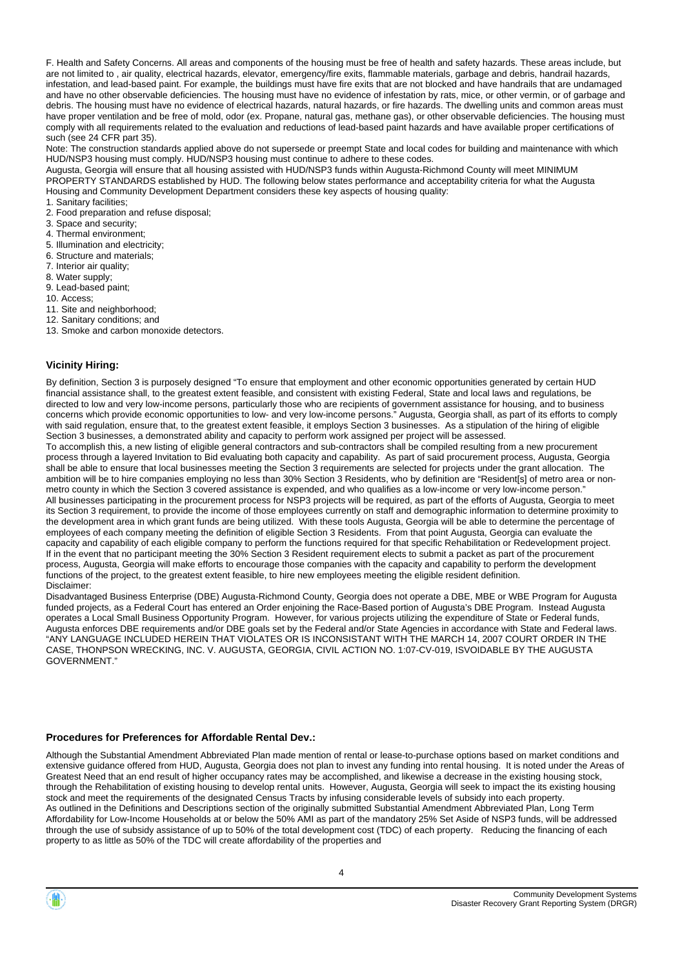F. Health and Safety Concerns. All areas and components of the housing must be free of health and safety hazards. These areas include, but are not limited to , air quality, electrical hazards, elevator, emergency/fire exits, flammable materials, garbage and debris, handrail hazards, infestation, and lead-based paint. For example, the buildings must have fire exits that are not blocked and have handrails that are undamaged and have no other observable deficiencies. The housing must have no evidence of infestation by rats, mice, or other vermin, or of garbage and debris. The housing must have no evidence of electrical hazards, natural hazards, or fire hazards. The dwelling units and common areas must have proper ventilation and be free of mold, odor (ex. Propane, natural gas, methane gas), or other observable deficiencies. The housing must comply with all requirements related to the evaluation and reductions of lead-based paint hazards and have available proper certifications of such (see 24 CFR part 35).

Note: The construction standards applied above do not supersede or preempt State and local codes for building and maintenance with which HUD/NSP3 housing must comply. HUD/NSP3 housing must continue to adhere to these codes.

Augusta, Georgia will ensure that all housing assisted with HUD/NSP3 funds within Augusta-Richmond County will meet MINIMUM PROPERTY STANDARDS established by HUD. The following below states performance and acceptability criteria for what the Augusta Housing and Community Development Department considers these key aspects of housing quality:

1. Sanitary facilities; 2. Food preparation and refuse disposal;

- 3. Space and security;
- 4. Thermal environment;
- 5. Illumination and electricity;
- 6. Structure and materials;
- 7. Interior air quality;
- 8. Water supply;
- 9. Lead-based paint;
- 10. Access;
- 11. Site and neighborhood;
- 12. Sanitary conditions; and
- 13. Smoke and carbon monoxide detectors.

#### **Vicinity Hiring:**

By definition, Section 3 is purposely designed "To ensure that employment and other economic opportunities generated by certain HUD financial assistance shall, to the greatest extent feasible, and consistent with existing Federal, State and local laws and regulations, be directed to low and very low-income persons, particularly those who are recipients of government assistance for housing, and to business concerns which provide economic opportunities to low- and very low-income persons." Augusta, Georgia shall, as part of its efforts to comply with said regulation, ensure that, to the greatest extent feasible, it employs Section 3 businesses. As a stipulation of the hiring of eligible Section 3 businesses, a demonstrated ability and capacity to perform work assigned per project will be assessed.

To accomplish this, a new listing of eligible general contractors and sub-contractors shall be compiled resulting from a new procurement process through a layered Invitation to Bid evaluating both capacity and capability. As part of said procurement process, Augusta, Georgia shall be able to ensure that local businesses meeting the Section 3 requirements are selected for projects under the grant allocation. The ambition will be to hire companies employing no less than 30% Section 3 Residents, who by definition are "Resident[s] of metro area or nonmetro county in which the Section 3 covered assistance is expended, and who qualifies as a low-income or very low-income person." All businesses participating in the procurement process for NSP3 projects will be required, as part of the efforts of Augusta, Georgia to meet its Section 3 requirement, to provide the income of those employees currently on staff and demographic information to determine proximity to the development area in which grant funds are being utilized. With these tools Augusta, Georgia will be able to determine the percentage of employees of each company meeting the definition of eligible Section 3 Residents. From that point Augusta, Georgia can evaluate the capacity and capability of each eligible company to perform the functions required for that specific Rehabilitation or Redevelopment project. If in the event that no participant meeting the 30% Section 3 Resident requirement elects to submit a packet as part of the procurement process, Augusta, Georgia will make efforts to encourage those companies with the capacity and capability to perform the development functions of the project, to the greatest extent feasible, to hire new employees meeting the eligible resident definition. Disclaimer:

Disadvantaged Business Enterprise (DBE) Augusta-Richmond County, Georgia does not operate a DBE, MBE or WBE Program for Augusta funded projects, as a Federal Court has entered an Order enjoining the Race-Based portion of Augusta's DBE Program. Instead Augusta operates a Local Small Business Opportunity Program. However, for various projects utilizing the expenditure of State or Federal funds, Augusta enforces DBE requirements and/or DBE goals set by the Federal and/or State Agencies in accordance with State and Federal laws. "ANY LANGUAGE INCLUDED HEREIN THAT VIOLATES OR IS INCONSISTANT WITH THE MARCH 14, 2007 COURT ORDER IN THE CASE, THONPSON WRECKING, INC. V. AUGUSTA, GEORGIA, CIVIL ACTION NO. 1:07-CV-019, ISVOIDABLE BY THE AUGUSTA GOVERNMENT."

#### **Procedures for Preferences for Affordable Rental Dev.:**

Although the Substantial Amendment Abbreviated Plan made mention of rental or lease-to-purchase options based on market conditions and extensive guidance offered from HUD, Augusta, Georgia does not plan to invest any funding into rental housing. It is noted under the Areas of Greatest Need that an end result of higher occupancy rates may be accomplished, and likewise a decrease in the existing housing stock, through the Rehabilitation of existing housing to develop rental units. However, Augusta, Georgia will seek to impact the its existing housing stock and meet the requirements of the designated Census Tracts by infusing considerable levels of subsidy into each property. As outlined in the Definitions and Descriptions section of the originally submitted Substantial Amendment Abbreviated Plan, Long Term Affordability for Low-Income Households at or below the 50% AMI as part of the mandatory 25% Set Aside of NSP3 funds, will be addressed through the use of subsidy assistance of up to 50% of the total development cost (TDC) of each property. Reducing the financing of each property to as little as 50% of the TDC will create affordability of the properties and

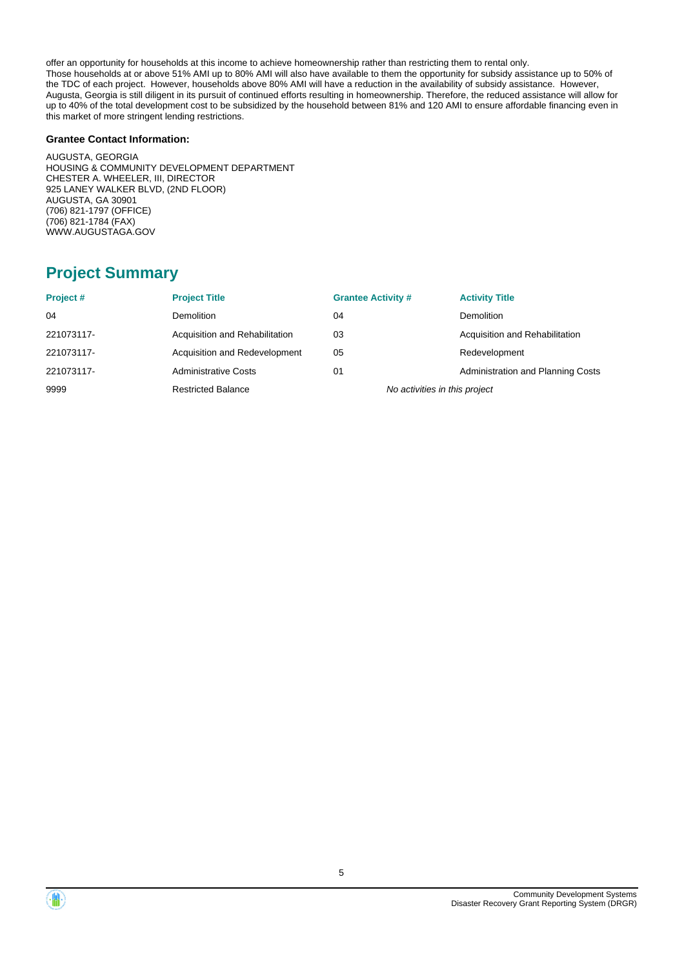offer an opportunity for households at this income to achieve homeownership rather than restricting them to rental only. Those households at or above 51% AMI up to 80% AMI will also have available to them the opportunity for subsidy assistance up to 50% of the TDC of each project. However, households above 80% AMI will have a reduction in the availability of subsidy assistance. However, Augusta, Georgia is still diligent in its pursuit of continued efforts resulting in homeownership. Therefore, the reduced assistance will allow for up to 40% of the total development cost to be subsidized by the household between 81% and 120 AMI to ensure affordable financing even in this market of more stringent lending restrictions.

#### **Grantee Contact Information:**

AUGUSTA, GEORGIA HOUSING & COMMUNITY DEVELOPMENT DEPARTMENT CHESTER A. WHEELER, III, DIRECTOR 925 LANEY WALKER BLVD, (2ND FLOOR) AUGUSTA, GA 30901 (706) 821-1797 (OFFICE) (706) 821-1784 (FAX) WWW.AUGUSTAGA.GOV

## **Project Summary**

| Project#   | <b>Project Title</b>           | <b>Grantee Activity #</b>     | <b>Activity Title</b>                    |
|------------|--------------------------------|-------------------------------|------------------------------------------|
| 04         | <b>Demolition</b>              | 04                            | <b>Demolition</b>                        |
| 221073117- | Acquisition and Rehabilitation | 03                            | Acquisition and Rehabilitation           |
| 221073117- | Acquisition and Redevelopment  | 05                            | Redevelopment                            |
| 221073117- | <b>Administrative Costs</b>    | 01                            | <b>Administration and Planning Costs</b> |
| 9999       | <b>Restricted Balance</b>      | No activities in this project |                                          |



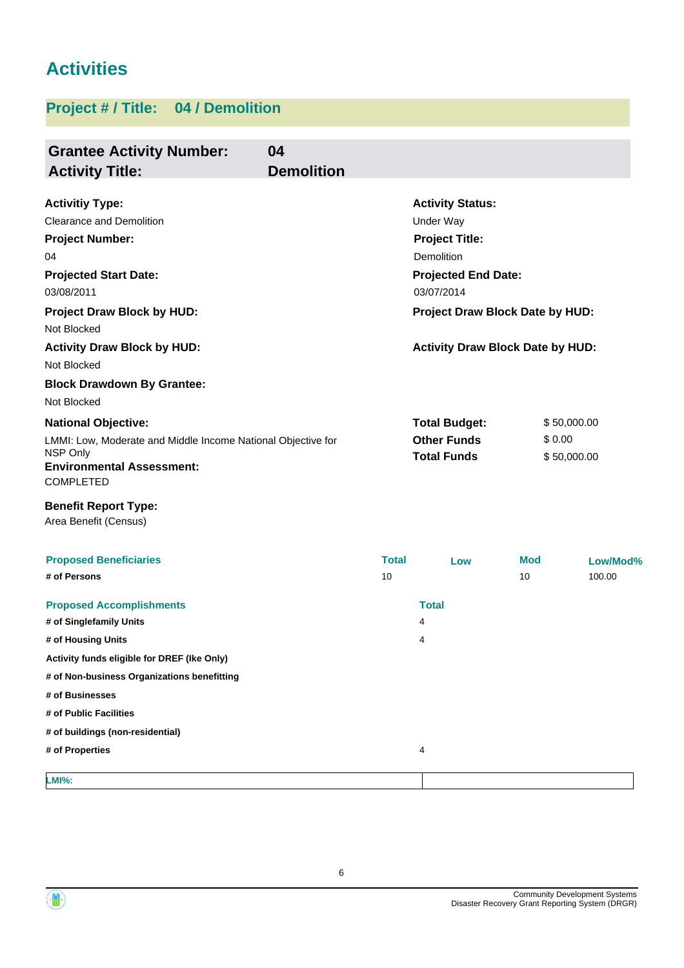# **Activities**

# **Project # / Title: 04 / Demolition**

| <b>Grantee Activity Number:</b><br><b>Activity Title:</b>        | 04<br><b>Demolition</b> |              |                                          |            |             |
|------------------------------------------------------------------|-------------------------|--------------|------------------------------------------|------------|-------------|
| <b>Activitiy Type:</b>                                           |                         |              | <b>Activity Status:</b>                  |            |             |
| <b>Clearance and Demolition</b>                                  |                         |              | Under Way                                |            |             |
| <b>Project Number:</b>                                           |                         |              | <b>Project Title:</b>                    |            |             |
| 04                                                               |                         |              | Demolition                               |            |             |
| <b>Projected Start Date:</b><br>03/08/2011                       |                         |              | <b>Projected End Date:</b><br>03/07/2014 |            |             |
| <b>Project Draw Block by HUD:</b><br>Not Blocked                 |                         |              | Project Draw Block Date by HUD:          |            |             |
| <b>Activity Draw Block by HUD:</b>                               |                         |              | <b>Activity Draw Block Date by HUD:</b>  |            |             |
| Not Blocked                                                      |                         |              |                                          |            |             |
| <b>Block Drawdown By Grantee:</b>                                |                         |              |                                          |            |             |
| Not Blocked                                                      |                         |              |                                          |            |             |
| <b>National Objective:</b>                                       |                         |              | <b>Total Budget:</b>                     |            | \$50,000.00 |
| LMMI: Low, Moderate and Middle Income National Objective for     |                         |              | <b>Other Funds</b>                       | \$0.00     |             |
| NSP Only<br><b>Environmental Assessment:</b><br><b>COMPLETED</b> |                         |              | <b>Total Funds</b><br>\$50,000.00        |            |             |
| <b>Benefit Report Type:</b><br>Area Benefit (Census)             |                         |              |                                          |            |             |
| <b>Proposed Beneficiaries</b>                                    |                         | <b>Total</b> | Low                                      | <b>Mod</b> | Low/Mod%    |
| # of Persons                                                     |                         | 10           |                                          | 10         | 100.00      |
| <b>Proposed Accomplishments</b>                                  |                         |              | <b>Total</b>                             |            |             |
| # of Singlefamily Units                                          |                         |              | 4                                        |            |             |
| # of Housing Units                                               |                         |              | 4                                        |            |             |
| Activity funds eligible for DREF (Ike Only)                      |                         |              |                                          |            |             |
| # of Non-business Organizations benefitting                      |                         |              |                                          |            |             |
| # of Businesses                                                  |                         |              |                                          |            |             |
| # of Public Facilities                                           |                         |              |                                          |            |             |
| # of buildings (non-residential)                                 |                         |              |                                          |            |             |
| # of Properties                                                  |                         |              | 4                                        |            |             |
| <b>LMI%:</b>                                                     |                         |              |                                          |            |             |



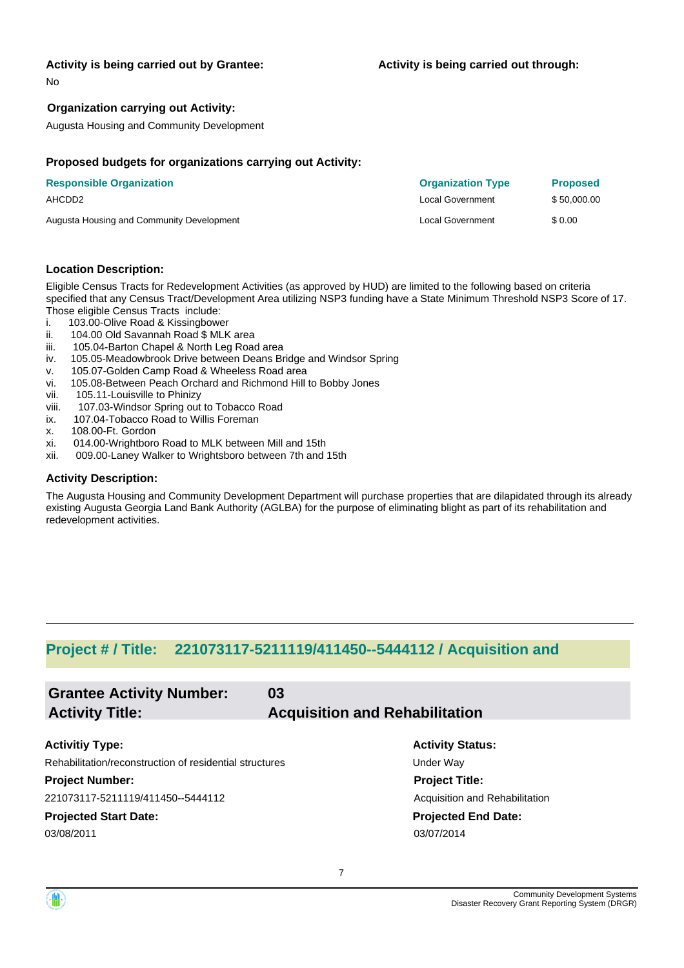#### **Activity is being carried out by Grantee:**

No

#### **Organization carrying out Activity:**

Augusta Housing and Community Development

#### **Proposed budgets for organizations carrying out Activity:**

| <b>Responsible Organization</b>           | <b>Organization Type</b> | <b>Proposed</b> |
|-------------------------------------------|--------------------------|-----------------|
| AHCDD2                                    | <b>Local Government</b>  | \$50,000.00     |
| Augusta Housing and Community Development | Local Government         | \$ 0.00         |

#### **Location Description:**

Eligible Census Tracts for Redevelopment Activities (as approved by HUD) are limited to the following based on criteria specified that any Census Tract/Development Area utilizing NSP3 funding have a State Minimum Threshold NSP3 Score of 17. Those eligible Census Tracts include:

- i. 103.00-Olive Road & Kissingbower
- ii. 104.00 Old Savannah Road \$ MLK area
- iii. 105.04-Barton Chapel & North Leg Road area
- iv. 105.05-Meadowbrook Drive between Deans Bridge and Windsor Spring
- v. 105.07-Golden Camp Road & Wheeless Road area
- vi. 105.08-Between Peach Orchard and Richmond Hill to Bobby Jones
- vii. 105.11-Louisville to Phinizy
- viii. 107.03-Windsor Spring out to Tobacco Road
- ix. 107.04-Tobacco Road to Willis Foreman
- x. 108.00-Ft. Gordon
- xi. 014.00-Wrightboro Road to MLK between Mill and 15th
- xii. 009.00-Laney Walker to Wrightsboro between 7th and 15th

#### **Activity Description:**

The Augusta Housing and Community Development Department will purchase properties that are dilapidated through its already existing Augusta Georgia Land Bank Authority (AGLBA) for the purpose of eliminating blight as part of its rehabilitation and redevelopment activities.

### **Project # / Title: 221073117-5211119/411450--5444112 / Acquisition and**

| <b>Grantee Activity Number:</b>                         | 03 |                                       |
|---------------------------------------------------------|----|---------------------------------------|
| <b>Activity Title:</b>                                  |    | <b>Acquisition and Rehabilitation</b> |
|                                                         |    |                                       |
| <b>Activitiy Type:</b>                                  |    | <b>Activity Status:</b>               |
| Rehabilitation/reconstruction of residential structures |    | Under Way                             |
| <b>Project Number:</b>                                  |    | <b>Project Title:</b>                 |
| 221073117-5211119/411450--5444112                       |    | Acquisition and Rehabilitation        |
| <b>Projected Start Date:</b>                            |    | <b>Projected End Date:</b>            |
| 03/08/2011                                              |    | 03/07/2014                            |
|                                                         |    |                                       |
|                                                         |    |                                       |

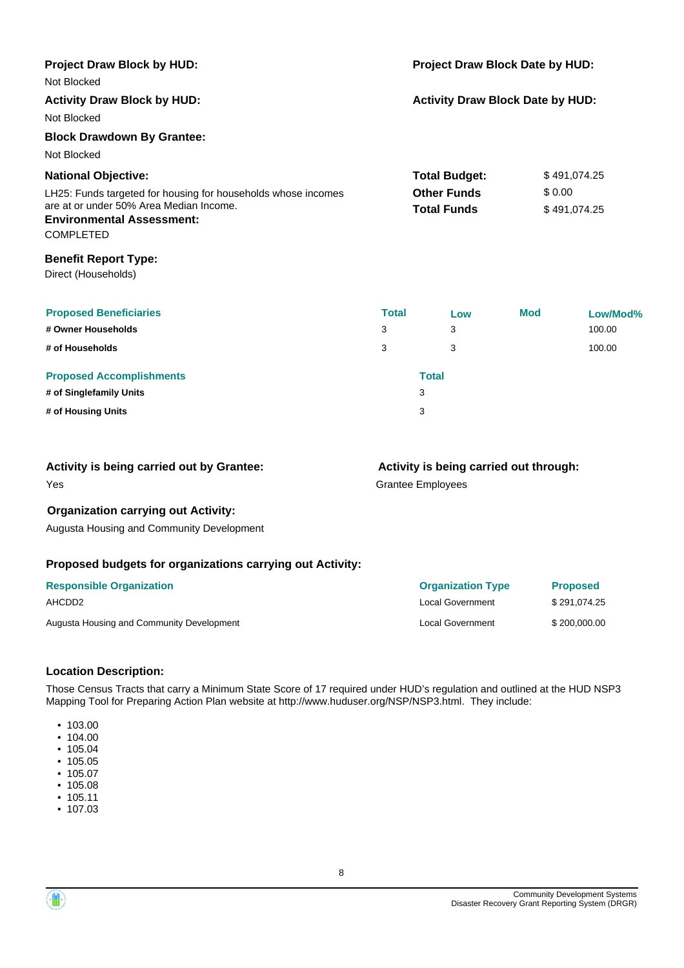| Project Draw Block by HUD:<br>Not Blocked                     |              | Project Draw Block Date by HUD:         |              |              |  |
|---------------------------------------------------------------|--------------|-----------------------------------------|--------------|--------------|--|
| <b>Activity Draw Block by HUD:</b>                            |              | <b>Activity Draw Block Date by HUD:</b> |              |              |  |
| Not Blocked                                                   |              |                                         |              |              |  |
| <b>Block Drawdown By Grantee:</b>                             |              |                                         |              |              |  |
| Not Blocked                                                   |              |                                         |              |              |  |
| <b>National Objective:</b>                                    |              | <b>Total Budget:</b>                    |              | \$491,074.25 |  |
| LH25: Funds targeted for housing for households whose incomes |              | <b>Other Funds</b>                      |              | \$0.00       |  |
| are at or under 50% Area Median Income.                       |              | <b>Total Funds</b>                      | \$491,074.25 |              |  |
| <b>Environmental Assessment:</b><br><b>COMPLETED</b>          |              |                                         |              |              |  |
| <b>Benefit Report Type:</b>                                   |              |                                         |              |              |  |
| Direct (Households)                                           |              |                                         |              |              |  |
| <b>Proposed Beneficiaries</b>                                 | <b>Total</b> | Low                                     | <b>Mod</b>   | Low/Mod%     |  |
| # Owner Households<br>3                                       |              | 3                                       |              | 100.00       |  |
| 3<br># of Households                                          |              | 3                                       |              | 100.00       |  |
| <b>Proposed Accomplishments</b>                               |              | <b>Total</b>                            |              |              |  |
| # of Singlefamily Units                                       |              | 3                                       |              |              |  |
| # of Housing Units                                            |              | 3                                       |              |              |  |

| Activity is being carried out by Grantee:  | Activity is being carried out through: |
|--------------------------------------------|----------------------------------------|
| Yes                                        | <b>Grantee Employees</b>               |
| <b>Organization carrying out Activity:</b> |                                        |

Augusta Housing and Community Development

#### **Proposed budgets for organizations carrying out Activity:**

| <b>Responsible Organization</b>           | <b>Organization Type</b> | <b>Proposed</b> |
|-------------------------------------------|--------------------------|-----------------|
| AHCDD2                                    | Local Government         | \$291.074.25    |
| Augusta Housing and Community Development | <b>Local Government</b>  | \$200,000,00    |

#### **Location Description:**

Those Census Tracts that carry a Minimum State Score of 17 required under HUD's regulation and outlined at the HUD NSP3 Mapping Tool for Preparing Action Plan website at http://www.huduser.org/NSP/NSP3.html. They include:

- 103.00
- 104.00
- 105.04
- 105.05
- 105.07
- 105.08
- 105.11 • 107.03



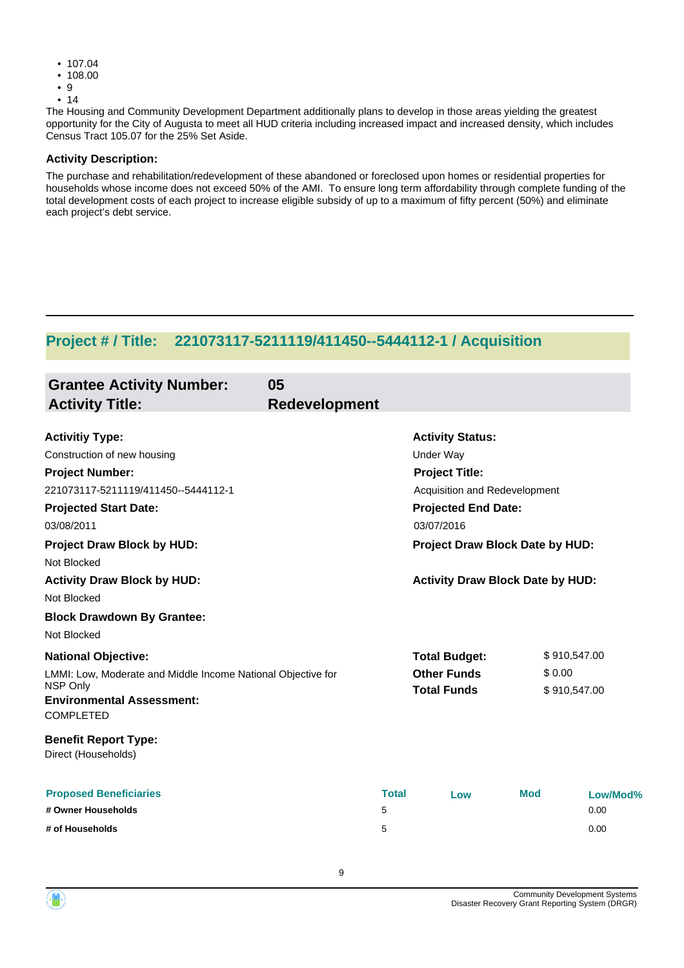- 107.04
- 108.00
- 9
- 14

The Housing and Community Development Department additionally plans to develop in those areas yielding the greatest opportunity for the City of Augusta to meet all HUD criteria including increased impact and increased density, which includes Census Tract 105.07 for the 25% Set Aside.

#### **Activity Description:**

The purchase and rehabilitation/redevelopment of these abandoned or foreclosed upon homes or residential properties for households whose income does not exceed 50% of the AMI. To ensure long term affordability through complete funding of the total development costs of each project to increase eligible subsidy of up to a maximum of fifty percent (50%) and eliminate each project's debt service.

### **Project # / Title: 221073117-5211119/411450--5444112-1 / Acquisition**

| <b>Grantee Activity Number:</b><br><b>Activity Title:</b>        | 05<br><b>Redevelopment</b> |              |                                         |            |              |
|------------------------------------------------------------------|----------------------------|--------------|-----------------------------------------|------------|--------------|
| <b>Activitiy Type:</b>                                           |                            |              | <b>Activity Status:</b>                 |            |              |
| Construction of new housing                                      |                            |              | <b>Under Way</b>                        |            |              |
| <b>Project Number:</b>                                           |                            |              | <b>Project Title:</b>                   |            |              |
| 221073117-5211119/411450--5444112-1                              |                            |              | Acquisition and Redevelopment           |            |              |
| <b>Projected Start Date:</b>                                     |                            |              | <b>Projected End Date:</b>              |            |              |
| 03/08/2011                                                       |                            |              | 03/07/2016                              |            |              |
| <b>Project Draw Block by HUD:</b>                                |                            |              | <b>Project Draw Block Date by HUD:</b>  |            |              |
| Not Blocked                                                      |                            |              |                                         |            |              |
| <b>Activity Draw Block by HUD:</b>                               |                            |              | <b>Activity Draw Block Date by HUD:</b> |            |              |
| Not Blocked                                                      |                            |              |                                         |            |              |
| <b>Block Drawdown By Grantee:</b>                                |                            |              |                                         |            |              |
| Not Blocked                                                      |                            |              |                                         |            |              |
| <b>National Objective:</b>                                       |                            |              | <b>Total Budget:</b>                    |            | \$910,547.00 |
| LMMI: Low, Moderate and Middle Income National Objective for     |                            |              | <b>Other Funds</b>                      | \$0.00     |              |
| NSP Only<br><b>Environmental Assessment:</b><br><b>COMPLETED</b> |                            |              | <b>Total Funds</b>                      |            | \$910,547.00 |
| <b>Benefit Report Type:</b><br>Direct (Households)               |                            |              |                                         |            |              |
| <b>Proposed Beneficiaries</b>                                    |                            | <b>Total</b> | Low                                     | <b>Mod</b> | Low/Mod%     |
| # Owner Households                                               | 5                          |              |                                         |            | 0.00         |
| # of Households                                                  | 5                          |              |                                         |            | 0.00         |

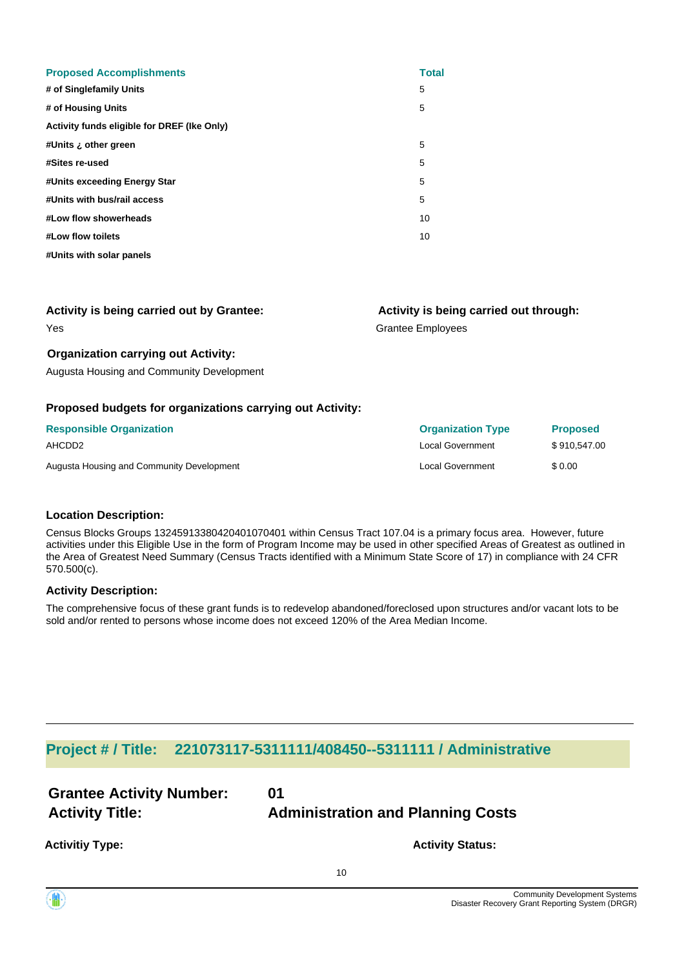| <b>Proposed Accomplishments</b>             | <b>Total</b> |
|---------------------------------------------|--------------|
| # of Singlefamily Units                     | 5            |
| # of Housing Units                          | 5            |
| Activity funds eligible for DREF (Ike Only) |              |
| #Units ¿ other green                        | 5            |
| #Sites re-used                              | 5            |
| #Units exceeding Energy Star                | 5            |
| #Units with bus/rail access                 | 5            |
| #Low flow showerheads                       | 10           |
| #Low flow toilets                           | 10           |
| #Units with solar panels                    |              |

| <b>Activity is being carried out by Grantee:</b> | Activity is being carried out through: |
|--------------------------------------------------|----------------------------------------|
| Yes                                              | Grantee Employees                      |

#### **Organization carrying out Activity:**

Augusta Housing and Community Development

#### **Proposed budgets for organizations carrying out Activity:**

| <b>Responsible Organization</b>           | <b>Organization Type</b> | <b>Proposed</b> |
|-------------------------------------------|--------------------------|-----------------|
| AHCDD2                                    | Local Government         | \$910.547.00    |
| Augusta Housing and Community Development | Local Government         | \$0.00          |

#### **Location Description:**

Census Blocks Groups 13245913380420401070401 within Census Tract 107.04 is a primary focus area. However, future activities under this Eligible Use in the form of Program Income may be used in other specified Areas of Greatest as outlined in the Area of Greatest Need Summary (Census Tracts identified with a Minimum State Score of 17) in compliance with 24 CFR 570.500(c).

#### **Activity Description:**

The comprehensive focus of these grant funds is to redevelop abandoned/foreclosed upon structures and/or vacant lots to be sold and/or rented to persons whose income does not exceed 120% of the Area Median Income.

### **Project # / Title: 221073117-5311111/408450--5311111 / Administrative**

| <b>Grantee Activity Number:</b> | 01                                       |
|---------------------------------|------------------------------------------|
| <b>Activity Title:</b>          | <b>Administration and Planning Costs</b> |
| <b>Activitiy Type:</b>          | <b>Activity Status:</b>                  |

10

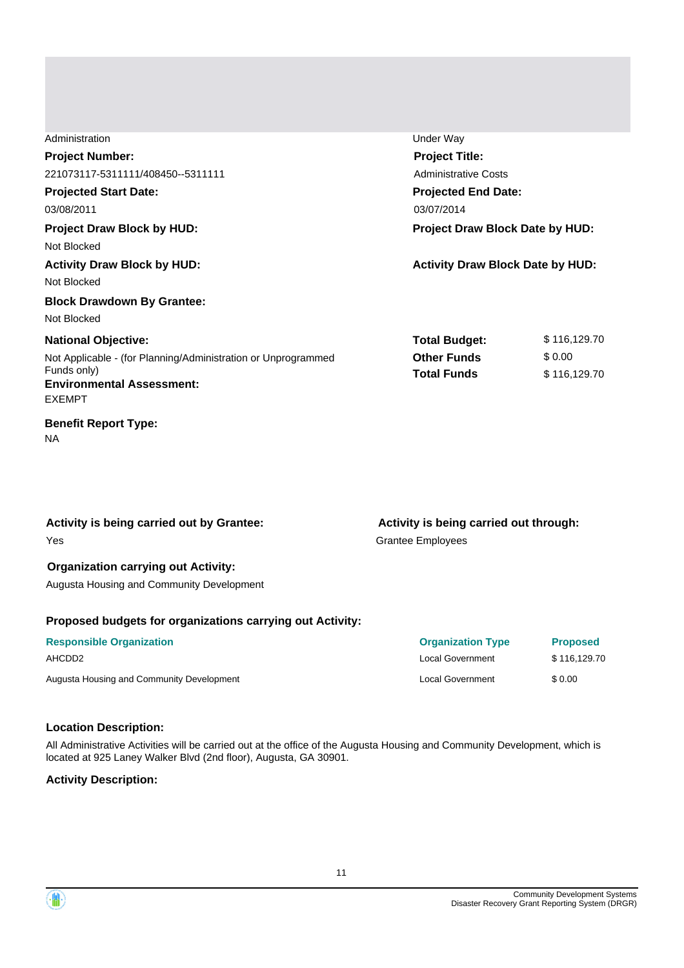| Administration                                                | Under Way                               |              |
|---------------------------------------------------------------|-----------------------------------------|--------------|
| <b>Project Number:</b>                                        | <b>Project Title:</b>                   |              |
| 221073117-5311111/408450--5311111                             | <b>Administrative Costs</b>             |              |
| <b>Projected Start Date:</b>                                  | <b>Projected End Date:</b>              |              |
| 03/08/2011                                                    | 03/07/2014                              |              |
| <b>Project Draw Block by HUD:</b>                             | Project Draw Block Date by HUD:         |              |
| Not Blocked                                                   |                                         |              |
| <b>Activity Draw Block by HUD:</b>                            | <b>Activity Draw Block Date by HUD:</b> |              |
| Not Blocked                                                   |                                         |              |
| <b>Block Drawdown By Grantee:</b>                             |                                         |              |
| Not Blocked                                                   |                                         |              |
| <b>National Objective:</b>                                    | <b>Total Budget:</b>                    | \$116,129.70 |
| Not Applicable - (for Planning/Administration or Unprogrammed | <b>Other Funds</b>                      | \$0.00       |
| Funds only)                                                   | <b>Total Funds</b>                      | \$116,129.70 |
| <b>Environmental Assessment:</b>                              |                                         |              |
| <b>EXEMPT</b>                                                 |                                         |              |
| <b>Benefit Report Type:</b>                                   |                                         |              |

NA

| Activity is being carried out by Grantee: |  |  |
|-------------------------------------------|--|--|
| Yes                                       |  |  |

#### **Organization carrying out Activity:**

Augusta Housing and Community Development

### **Proposed budgets for organizations carrying out Activity:**

| <b>Responsible Organization</b>           | <b>Organization Type</b> | <b>Proposed</b> |
|-------------------------------------------|--------------------------|-----------------|
| AHCDD2                                    | <b>Local Government</b>  | \$116,129.70    |
| Augusta Housing and Community Development | Local Government         | \$ 0.00         |

#### **Location Description:**

All Administrative Activities will be carried out at the office of the Augusta Housing and Community Development, which is located at 925 Laney Walker Blvd (2nd floor), Augusta, GA 30901.

### **Activity Description:**



Grantee Employees **Activity is being carried out through:**